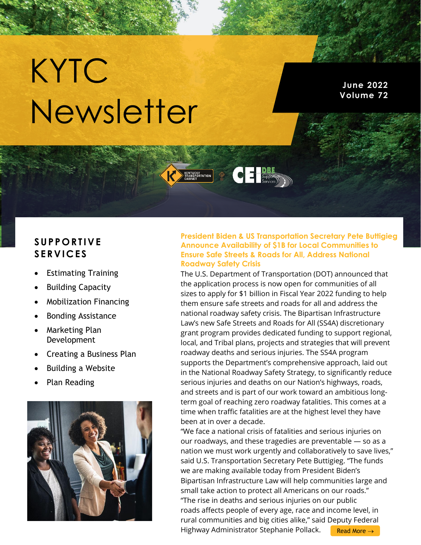# KYTC Newsletter

**June 2022 Volume 72**

### **S U P P O R T I V E S E R V I C E S**

- Estimating Training
- **Building Capacity**
- Mobilization Financing
- Bonding Assistance
- Marketing Plan Development
- Creating a Business Plan
- Building a Website
- Plan Reading



#### **President Biden & US Transportation Secretary Pete Buttigieg Announce Availability of \$1B for Local Communities to Ensure Safe Streets & Roads for All, Address National Roadway Safety Crisis**

**CEL Supportive** 

KENTUCKY<br>TRANSPORTATION

The U.S. Department of Transportation (DOT) announced that the application process is now open for communities of all sizes to apply for \$1 billion in Fiscal Year 2022 funding to help them ensure safe streets and roads for all and address the national roadway safety crisis. The Bipartisan Infrastructure Law's new Safe Streets and Roads for All (SS4A) discretionary grant program provides dedicated funding to support regional, local, and Tribal plans, projects and strategies that will prevent roadway deaths and serious injuries. The SS4A program supports the Department's comprehensive approach, laid out in the National Roadway Safety Strategy, to significantly reduce serious injuries and deaths on our Nation's highways, roads, and streets and is part of our work toward an ambitious longterm goal of reaching zero roadway fatalities. This comes at a time when traffic fatalities are at the highest level they have been at in over a decade.

"We face a national crisis of fatalities and serious injuries on our roadways, and these tragedies are preventable — so as a nation we must work urgently and collaboratively to save lives," said U.S. Transportation Secretary Pete Buttigieg. "The funds we are making available today from President Biden's Bipartisan Infrastructure Law will help communities large and small take action to protect all Americans on our roads." "The rise in deaths and serious injuries on our public roads affects people of every age, race and income level, in rural communities and big cities alike," said Deputy Federal Highway Administrator Stephanie Pollack. [Read More](https://www.constructionbusinessowner.com/news/president-biden-us-transportation-secretary-pete-buttigieg-announce-availability-1b-local) →